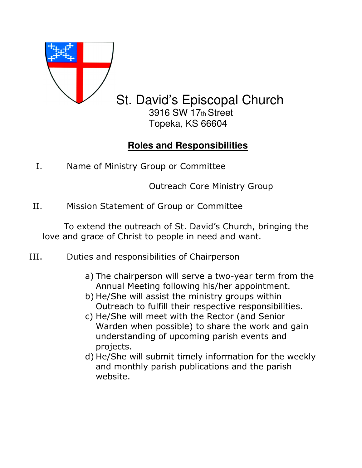

## St. David's Episcopal Church 3916 SW 17th Street

Topeka, KS 66604

## **Roles and Responsibilities**

I. Name of Ministry Group or Committee

Outreach Core Ministry Group

II. Mission Statement of Group or Committee

 To extend the outreach of St. David's Church, bringing the love and grace of Christ to people in need and want.

- III. Duties and responsibilities of Chairperson
	- a) The chairperson will serve a two-year term from the Annual Meeting following his/her appointment.
	- b) He/She will assist the ministry groups within Outreach to fulfill their respective responsibilities.
	- c) He/She will meet with the Rector (and Senior Warden when possible) to share the work and gain understanding of upcoming parish events and projects.
	- d) He/She will submit timely information for the weekly and monthly parish publications and the parish website.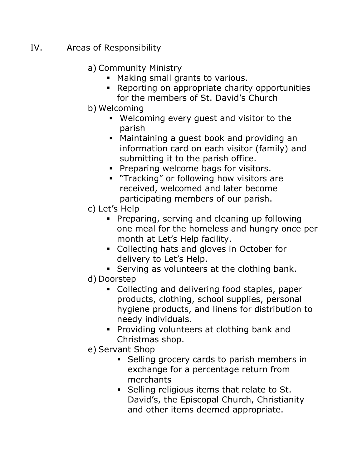## IV. Areas of Responsibility

## a) Community Ministry

- Making small grants to various.
- Reporting on appropriate charity opportunities for the members of St. David's Church
- b) Welcoming
	- Welcoming every guest and visitor to the parish
	- Maintaining a guest book and providing an information card on each visitor (family) and submitting it to the parish office.
	- **Preparing welcome bags for visitors.**
	- **Tracking" or following how visitors are** received, welcomed and later become participating members of our parish.
- c) Let's Help
	- **Preparing, serving and cleaning up following** one meal for the homeless and hungry once per month at Let's Help facility.
	- Collecting hats and gloves in October for delivery to Let's Help.
	- Serving as volunteers at the clothing bank.
- d) Doorstep
	- Collecting and delivering food staples, paper products, clothing, school supplies, personal hygiene products, and linens for distribution to needy individuals.
	- **Providing volunteers at clothing bank and** Christmas shop.
- e) Servant Shop
	- Selling grocery cards to parish members in exchange for a percentage return from merchants
	- **Selling religious items that relate to St.** David's, the Episcopal Church, Christianity and other items deemed appropriate.